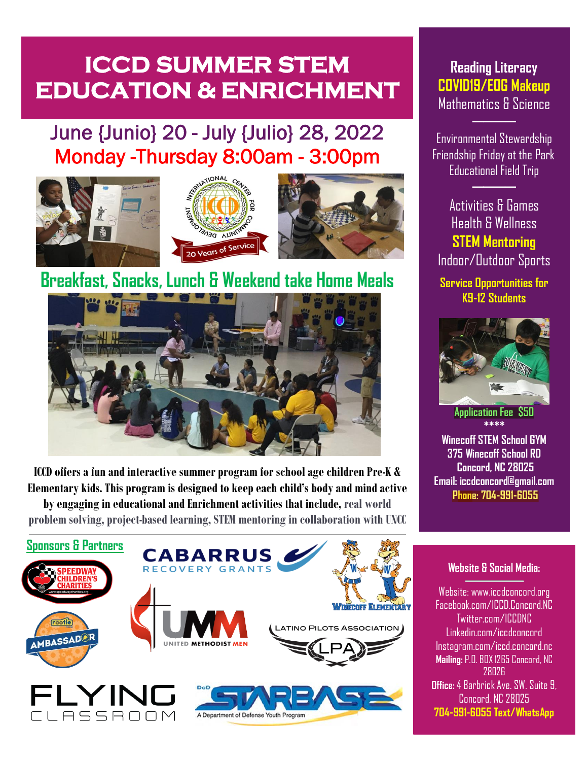# **ICCD SUMMER STEM EDUCATION & ENRICHMENT**

## June {Junio} 20 - July {Julio} 28, 2022 Monday -Thursday 8:00am - 3:00pm







# Breakfast, Snacks, Lunch & Weekend take Home Meals



**ICCD offers a fun and interactive summer program for school age children Pre-K & Elementary kids. This program is designed to keep each child's body and mind active by engaging in educational and Enrichment activities that include, real world problem solving, project-based learning,STEM mentoring in collaboration with UNCC**



### **Reading Literacy COVID19/EOG Makeup** Mathematics & Science

Environmental Stewardship Friendship Friday at the Park Educational Field Trip

**────**

**────**

Activities & Games Health & Wellness **STEM Mentoring** Indoor/Outdoor Sports

**Service Opportunities for K9-12 Students**



**Application Fee \$50 \*\*\*\***

**Winecoff STEM School GYM 375 Winecoff School RD Concord, NC 28025 Email: iccdconcord@gmail.com Phone: 704-991-6055** 

#### **Website & Social Media:**

Website: www.iccdconcord.org Facebook.com/ICCD.Concord.NC Twitter.com/ICCDNC Linkedin.com/iccdconcord Instagram.com/iccd.concord.nc **Mailing:** P.O. BOX 1265 Concord, NC 28026 **Office:**4 Barbrick Ave. SW. Suite 9, Concord, NC 28025 **704-991-6055 Text/WhatsApp**